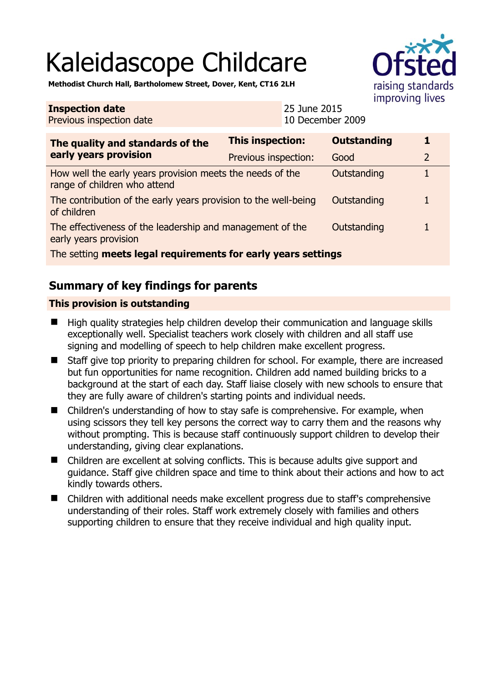# Kaleidascope Childcare



**Methodist Church Hall, Bartholomew Street, Dover, Kent, CT16 2LH** 

#### **Inspection date** Previous inspection date 25 June 2015 10 December 2009 **The quality and standards of the early years provision This inspection: Outstanding 1**  Previous inspection: Good 2 How well the early years provision meets the needs of the range of children who attend Outstanding 1 The contribution of the early years provision to the well-being of children Outstanding 1 The effectiveness of the leadership and management of the early years provision Outstanding 1 The setting **meets legal requirements for early years settings**

## **Summary of key findings for parents**

### **This provision is outstanding**

- High quality strategies help children develop their communication and language skills exceptionally well. Specialist teachers work closely with children and all staff use signing and modelling of speech to help children make excellent progress.
- Staff give top priority to preparing children for school. For example, there are increased but fun opportunities for name recognition. Children add named building bricks to a background at the start of each day. Staff liaise closely with new schools to ensure that they are fully aware of children's starting points and individual needs.
- Children's understanding of how to stay safe is comprehensive. For example, when using scissors they tell key persons the correct way to carry them and the reasons why without prompting. This is because staff continuously support children to develop their understanding, giving clear explanations.
- Children are excellent at solving conflicts. This is because adults give support and guidance. Staff give children space and time to think about their actions and how to act kindly towards others.
- Children with additional needs make excellent progress due to staff's comprehensive understanding of their roles. Staff work extremely closely with families and others supporting children to ensure that they receive individual and high quality input.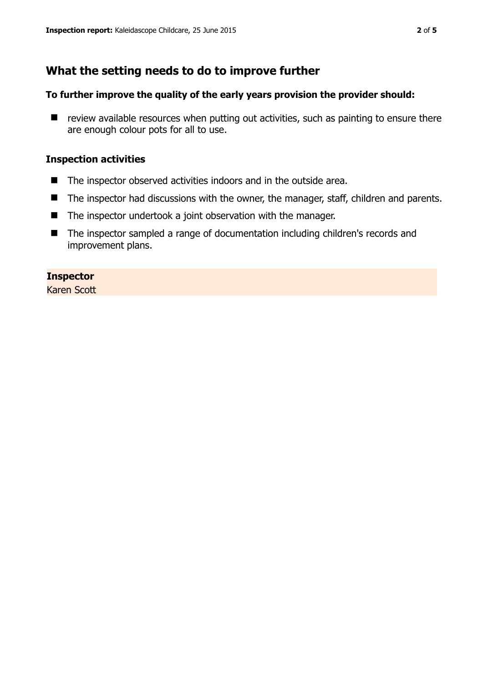## **What the setting needs to do to improve further**

#### **To further improve the quality of the early years provision the provider should:**

 $\blacksquare$  review available resources when putting out activities, such as painting to ensure there are enough colour pots for all to use.

#### **Inspection activities**

- The inspector observed activities indoors and in the outside area.
- The inspector had discussions with the owner, the manager, staff, children and parents.
- The inspector undertook a joint observation with the manager.
- The inspector sampled a range of documentation including children's records and improvement plans.

#### **Inspector**

Karen Scott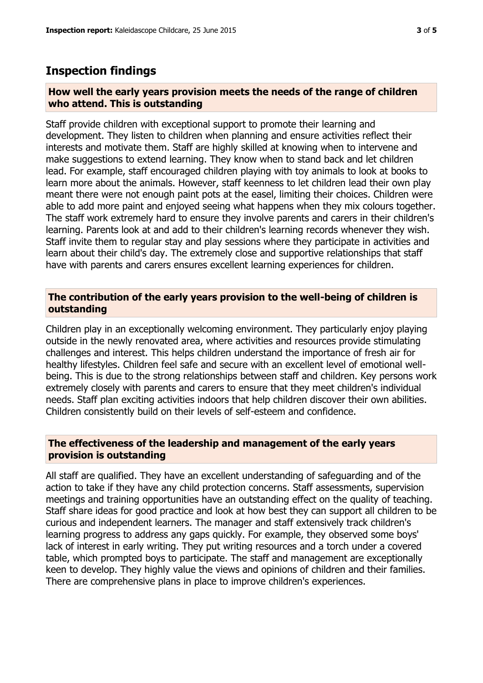## **Inspection findings**

#### **How well the early years provision meets the needs of the range of children who attend. This is outstanding**

Staff provide children with exceptional support to promote their learning and development. They listen to children when planning and ensure activities reflect their interests and motivate them. Staff are highly skilled at knowing when to intervene and make suggestions to extend learning. They know when to stand back and let children lead. For example, staff encouraged children playing with toy animals to look at books to learn more about the animals. However, staff keenness to let children lead their own play meant there were not enough paint pots at the easel, limiting their choices. Children were able to add more paint and enjoyed seeing what happens when they mix colours together. The staff work extremely hard to ensure they involve parents and carers in their children's learning. Parents look at and add to their children's learning records whenever they wish. Staff invite them to regular stay and play sessions where they participate in activities and learn about their child's day. The extremely close and supportive relationships that staff have with parents and carers ensures excellent learning experiences for children.

#### **The contribution of the early years provision to the well-being of children is outstanding**

Children play in an exceptionally welcoming environment. They particularly enjoy playing outside in the newly renovated area, where activities and resources provide stimulating challenges and interest. This helps children understand the importance of fresh air for healthy lifestyles. Children feel safe and secure with an excellent level of emotional wellbeing. This is due to the strong relationships between staff and children. Key persons work extremely closely with parents and carers to ensure that they meet children's individual needs. Staff plan exciting activities indoors that help children discover their own abilities. Children consistently build on their levels of self-esteem and confidence.

#### **The effectiveness of the leadership and management of the early years provision is outstanding**

All staff are qualified. They have an excellent understanding of safeguarding and of the action to take if they have any child protection concerns. Staff assessments, supervision meetings and training opportunities have an outstanding effect on the quality of teaching. Staff share ideas for good practice and look at how best they can support all children to be curious and independent learners. The manager and staff extensively track children's learning progress to address any gaps quickly. For example, they observed some boys' lack of interest in early writing. They put writing resources and a torch under a covered table, which prompted boys to participate. The staff and management are exceptionally keen to develop. They highly value the views and opinions of children and their families. There are comprehensive plans in place to improve children's experiences.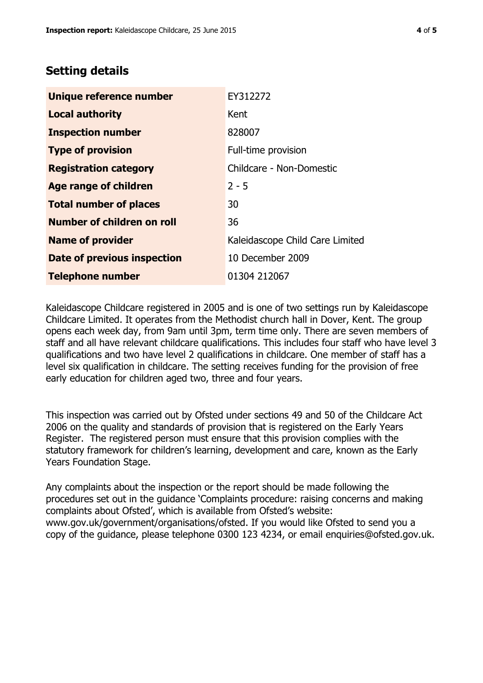## **Setting details**

| Unique reference number       | EY312272                        |
|-------------------------------|---------------------------------|
| <b>Local authority</b>        | Kent                            |
| <b>Inspection number</b>      | 828007                          |
| <b>Type of provision</b>      | Full-time provision             |
| <b>Registration category</b>  | Childcare - Non-Domestic        |
| <b>Age range of children</b>  | $2 - 5$                         |
| <b>Total number of places</b> | 30                              |
| Number of children on roll    | 36                              |
| <b>Name of provider</b>       | Kaleidascope Child Care Limited |
| Date of previous inspection   | 10 December 2009                |
| <b>Telephone number</b>       | 01304 212067                    |

Kaleidascope Childcare registered in 2005 and is one of two settings run by Kaleidascope Childcare Limited. It operates from the Methodist church hall in Dover, Kent. The group opens each week day, from 9am until 3pm, term time only. There are seven members of staff and all have relevant childcare qualifications. This includes four staff who have level 3 qualifications and two have level 2 qualifications in childcare. One member of staff has a level six qualification in childcare. The setting receives funding for the provision of free early education for children aged two, three and four years.

This inspection was carried out by Ofsted under sections 49 and 50 of the Childcare Act 2006 on the quality and standards of provision that is registered on the Early Years Register. The registered person must ensure that this provision complies with the statutory framework for children's learning, development and care, known as the Early Years Foundation Stage.

Any complaints about the inspection or the report should be made following the procedures set out in the guidance 'Complaints procedure: raising concerns and making complaints about Ofsted', which is available from Ofsted's website: www.gov.uk/government/organisations/ofsted. If you would like Ofsted to send you a copy of the guidance, please telephone 0300 123 4234, or email enquiries@ofsted.gov.uk.